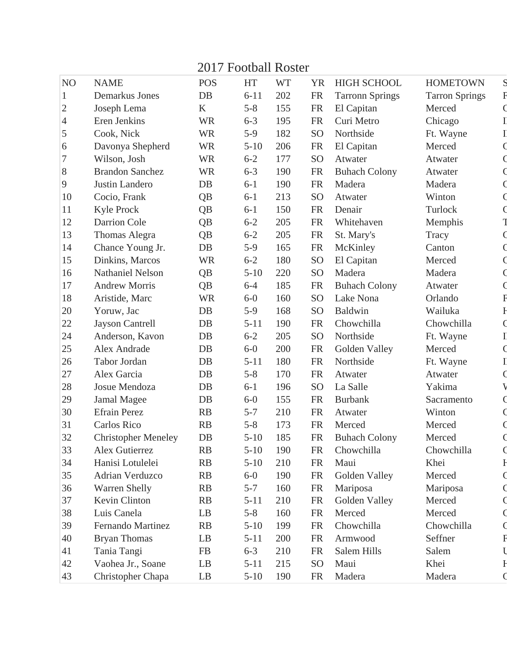## 2017 Football Roster

| N <sub>O</sub> | <b>NAME</b>                | <b>POS</b>             | <b>HT</b> | <b>WT</b> | <b>YR</b>       | <b>HIGH SCHOOL</b>     | <b>HOMETOWN</b>       | S            |
|----------------|----------------------------|------------------------|-----------|-----------|-----------------|------------------------|-----------------------|--------------|
| $\mathbf{1}$   | Demarkus Jones             | DB                     | $6 - 11$  | 202       | ${\rm FR}$      | <b>Tarronn Springs</b> | <b>Tarron Springs</b> | F            |
| 2              | Joseph Lema                | K                      | $5 - 8$   | 155       | <b>FR</b>       | El Capitan             | Merced                |              |
| 4              | Eren Jenkins               | <b>WR</b>              | $6 - 3$   | 195       | <b>FR</b>       | Curi Metro             | Chicago               | $\mathbf I$  |
| $\mathfrak{S}$ | Cook, Nick                 | <b>WR</b>              | $5-9$     | 182       | SO <sub>1</sub> | Northside              | Ft. Wayne             |              |
| 6              | Davonya Shepherd           | <b>WR</b>              | $5 - 10$  | 206       | <b>FR</b>       | El Capitan             | Merced                |              |
| 7              | Wilson, Josh               | <b>WR</b>              | $6 - 2$   | 177       | SO <sub>1</sub> | Atwater                | Atwater               |              |
| $8\,$          | <b>Brandon Sanchez</b>     | <b>WR</b>              | $6 - 3$   | 190       | <b>FR</b>       | <b>Buhach Colony</b>   | Atwater               |              |
| 9              | Justin Landero             | DB                     | $6 - 1$   | 190       | <b>FR</b>       | Madera                 | Madera                |              |
| 10             | Cocio, Frank               | QB                     | $6 - 1$   | 213       | SO <sub>1</sub> | Atwater                | Winton                |              |
| 11             | <b>Kyle Prock</b>          | QB                     | $6 - 1$   | 150       | <b>FR</b>       | Denair                 | Turlock               |              |
| 12             | Darrion Cole               | QB                     | $6 - 2$   | 205       | <b>FR</b>       | Whitehaven             | Memphis               |              |
| 13             | <b>Thomas Alegra</b>       | QB                     | $6 - 2$   | 205       | <b>FR</b>       | St. Mary's             | Tracy                 |              |
| 14             | Chance Young Jr.           | DB                     | $5-9$     | 165       | <b>FR</b>       | McKinley               | Canton                |              |
| 15             | Dinkins, Marcos            | <b>WR</b>              | $6 - 2$   | 180       | SO              | El Capitan             | Merced                |              |
| 16             | <b>Nathaniel Nelson</b>    | QB                     | $5 - 10$  | 220       | SO <sub>1</sub> | Madera                 | Madera                |              |
| 17             | <b>Andrew Morris</b>       | QB                     | $6 - 4$   | 185       | <b>FR</b>       | <b>Buhach Colony</b>   | Atwater               |              |
| 18             | Aristide, Marc             | <b>WR</b>              | $6 - 0$   | 160       | SO <sub>1</sub> | Lake Nona              | Orlando               | F            |
| 20             | Yoruw, Jac                 | DB                     | $5-9$     | 168       | SO <sub>1</sub> | <b>Baldwin</b>         | Wailuka               | $\mathbb{I}$ |
| 22             | <b>Jayson Cantrell</b>     | DB                     | $5 - 11$  | 190       | <b>FR</b>       | Chowchilla             | Chowchilla            |              |
| 24             | Anderson, Kavon            | DB                     | $6 - 2$   | 205       | SO <sub>1</sub> | Northside              | Ft. Wayne             | I            |
| 25             | Alex Andrade               | DB                     | $6-0$     | 200       | <b>FR</b>       | Golden Valley          | Merced                |              |
| 26             | Tabor Jordan               | DB                     | $5 - 11$  | 180       | <b>FR</b>       | Northside              | Ft. Wayne             |              |
| 27             | Alex Garcia                | DB                     | $5 - 8$   | 170       | <b>FR</b>       | Atwater                | Atwater               |              |
| 28             | Josue Mendoza              | DB                     | $6 - 1$   | 196       | SO <sub>1</sub> | La Salle               | Yakima                |              |
| 29             | Jamal Magee                | DB                     | $6-0$     | 155       | <b>FR</b>       | <b>Burbank</b>         | Sacramento            |              |
| 30             | <b>Efrain Perez</b>        | RB                     | $5 - 7$   | 210       | <b>FR</b>       | Atwater                | Winton                |              |
| 31             | Carlos Rico                | RB                     | $5 - 8$   | 173       | <b>FR</b>       | Merced                 | Merced                |              |
| 32             | <b>Christopher Meneley</b> | DB                     | $5 - 10$  | 185       | <b>FR</b>       | <b>Buhach Colony</b>   | Merced                |              |
| 33             | Alex Gutierrez             | RB                     | $5 - 10$  | 190       | <b>FR</b>       | Chowchilla             | Chowchilla            |              |
| 34             | Hanisi Lotulelei           | RB                     | $5 - 10$  | 210       | <b>FR</b>       | Maui                   | Khei                  | $\mathbf{F}$ |
| 35             | Adrian Verduzco            | RB                     | $6-0$     | 190       | <b>FR</b>       | Golden Valley          | Merced                |              |
| 36             | <b>Warren Shelly</b>       | RB                     | $5 - 7$   | 160       | <b>FR</b>       | Mariposa               | Mariposa              |              |
| 37             | Kevin Clinton              | RB                     | $5 - 11$  | 210       | <b>FR</b>       | Golden Valley          | Merced                |              |
| 38             | Luis Canela                | $\mathbf{L}\mathbf{B}$ | $5 - 8$   | 160       | <b>FR</b>       | Merced                 | Merced                |              |
| 39             | <b>Fernando Martinez</b>   | RB                     | $5 - 10$  | 199       | <b>FR</b>       | Chowchilla             | Chowchilla            |              |
| 40             | <b>Bryan Thomas</b>        | LB                     | $5 - 11$  | 200       | <b>FR</b>       | Armwood                | Seffner               | F            |
| 41             | Tania Tangi                | <b>FB</b>              | $6 - 3$   | 210       | <b>FR</b>       | Salem Hills            | Salem                 |              |
| 42             | Vaohea Jr., Soane          | LB                     | $5 - 11$  | 215       | S <sub>O</sub>  | Maui                   | Khei                  | H            |
| 43             | Christopher Chapa          | LB                     | $5 - 10$  | 190       | <b>FR</b>       | Madera                 | Madera                |              |